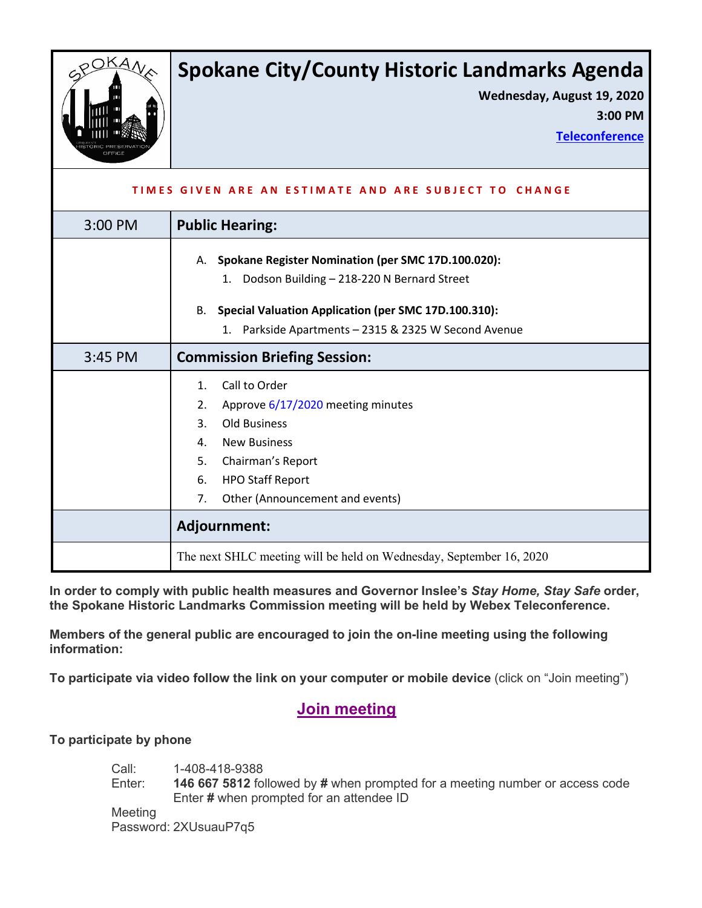

# **Spokane City/County Historic Landmarks Agenda**

**Wednesday, August 19, 2020**

**3:00 PM**

**[Teleconference](https://spokanecity.webex.com/webappng/sites/spokanecity/meeting/download/4cb5587d604c44c794844d0aca0f178b?siteurl=spokanecity&MTID=m8433bf5cf2b42266e891db764cb40707)**

| TIMES GIVEN ARE AN ESTIMATE AND ARE SUBJECT TO CHANGE |                                                                                                                                                                                                                                              |
|-------------------------------------------------------|----------------------------------------------------------------------------------------------------------------------------------------------------------------------------------------------------------------------------------------------|
| 3:00 PM                                               | <b>Public Hearing:</b>                                                                                                                                                                                                                       |
|                                                       | Spokane Register Nomination (per SMC 17D.100.020):<br>А.<br>Dodson Building - 218-220 N Bernard Street<br>1.<br><b>B.</b><br>Special Valuation Application (per SMC 17D.100.310):<br>Parkside Apartments - 2315 & 2325 W Second Avenue<br>1. |
| 3:45 PM                                               | <b>Commission Briefing Session:</b>                                                                                                                                                                                                          |
|                                                       | Call to Order<br>$\mathbf{1}$ .<br>Approve 6/17/2020 meeting minutes<br>2.<br>3.<br><b>Old Business</b><br><b>New Business</b><br>4.<br>5.<br>Chairman's Report<br><b>HPO Staff Report</b><br>6.<br>Other (Announcement and events)<br>7.    |
|                                                       | Adjournment:                                                                                                                                                                                                                                 |
|                                                       | The next SHLC meeting will be held on Wednesday, September 16, 2020                                                                                                                                                                          |

**In order to comply with public health measures and Governor Inslee's** *Stay Home, Stay Safe* **order, the Spokane Historic Landmarks Commission meeting will be held by Webex Teleconference.**

**Members of the general public are encouraged to join the on-line meeting using the following information:**

**To participate via video follow the link on your computer or mobile device** (click on "Join meeting")

## **Join [meeting](https://spokanecity.webex.com/webappng/sites/spokanecity/meeting/download/4cb5587d604c44c794844d0aca0f178b?siteurl=spokanecity&MTID=m8433bf5cf2b42266e891db764cb40707)**

**To participate by phone**

Call: 1-408-418-9388 Enter: **146 667 5812** followed by **#** when prompted for a meeting number or access code Enter **#** when prompted for an attendee ID Meeting

Password: 2XUsuauP7q5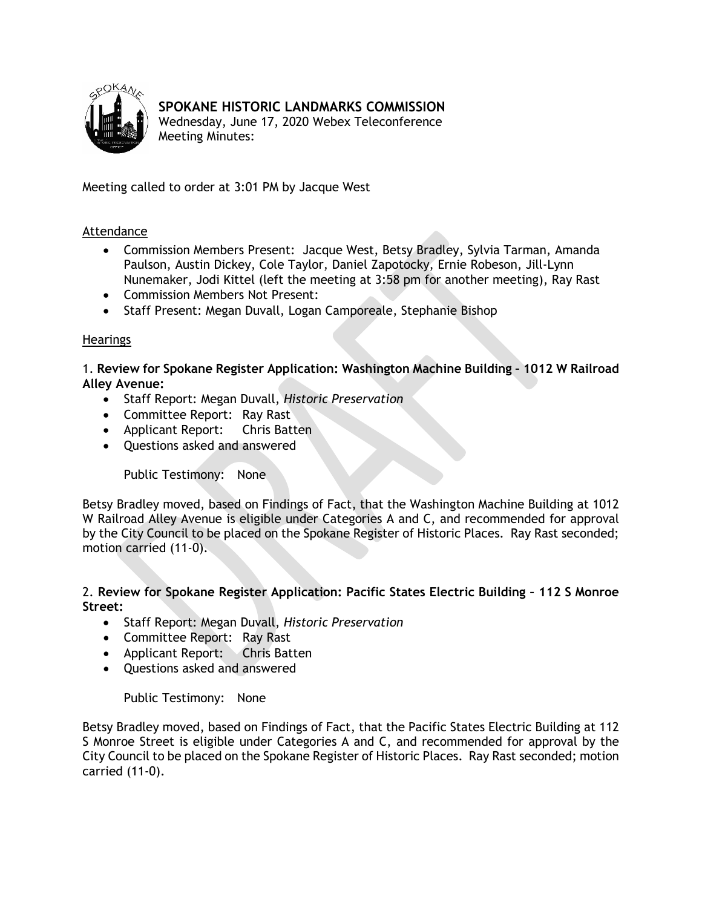<span id="page-1-0"></span>

### **SPOKANE HISTORIC LANDMARKS COMMISSION**

Wednesday, June 17, 2020 Webex Teleconference Meeting Minutes:

Meeting called to order at 3:01 PM by Jacque West

#### Attendance

- Commission Members Present: Jacque West, Betsy Bradley, Sylvia Tarman, Amanda Paulson, Austin Dickey, Cole Taylor, Daniel Zapotocky, Ernie Robeson, Jill-Lynn Nunemaker, Jodi Kittel (left the meeting at 3:58 pm for another meeting), Ray Rast
- Commission Members Not Present:
- Staff Present: Megan Duvall, Logan Camporeale, Stephanie Bishop

#### **Hearings**

1. **Review for Spokane Register Application: Washington Machine Building – 1012 W Railroad Alley Avenue:**

- Staff Report: Megan Duvall, *Historic Preservation*
- Committee Report: Ray Rast
- Applicant Report: Chris Batten
- Questions asked and answered

Public Testimony: None

Betsy Bradley moved, based on Findings of Fact, that the Washington Machine Building at 1012 W Railroad Alley Avenue is eligible under Categories A and C, and recommended for approval by the City Council to be placed on the Spokane Register of Historic Places. Ray Rast seconded; motion carried (11-0).

#### 2. **Review for Spokane Register Application: Pacific States Electric Building – 112 S Monroe Street:**

- Staff Report: Megan Duvall, *Historic Preservation*
- Committee Report: Ray Rast
- Applicant Report: Chris Batten
- Questions asked and answered

Public Testimony: None

Betsy Bradley moved, based on Findings of Fact, that the Pacific States Electric Building at 112 S Monroe Street is eligible under Categories A and C, and recommended for approval by the City Council to be placed on the Spokane Register of Historic Places. Ray Rast seconded; motion carried (11-0).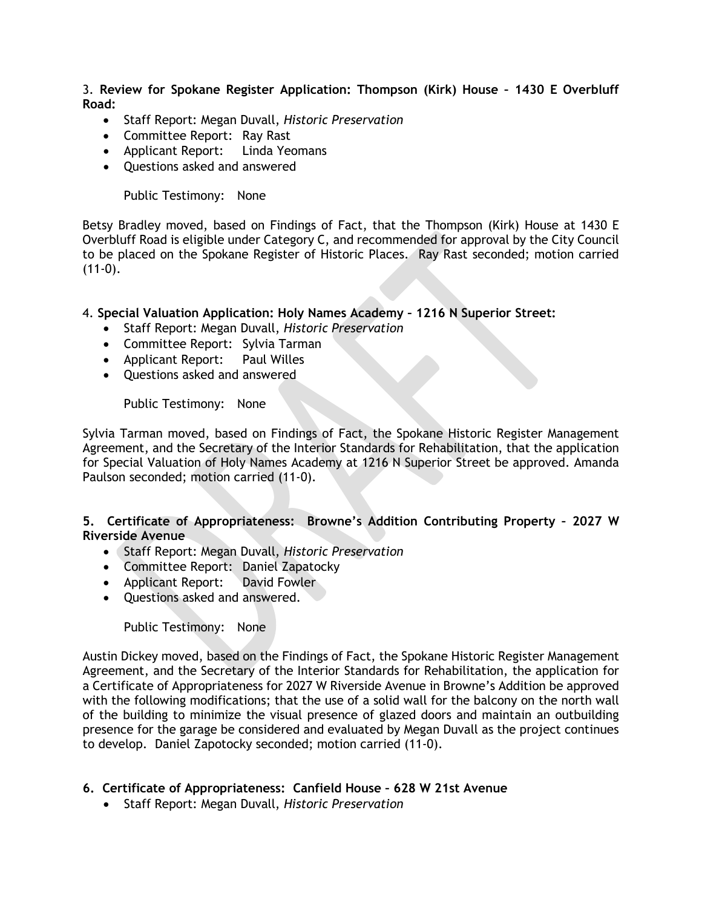3. **Review for Spokane Register Application: Thompson (Kirk) House – 1430 E Overbluff Road:**

- Staff Report: Megan Duvall, *Historic Preservation*
- Committee Report: Ray Rast
- Applicant Report: Linda Yeomans
- Questions asked and answered

Public Testimony: None

Betsy Bradley moved, based on Findings of Fact, that the Thompson (Kirk) House at 1430 E Overbluff Road is eligible under Category C, and recommended for approval by the City Council to be placed on the Spokane Register of Historic Places. Ray Rast seconded; motion carried  $(11-0)$ .

#### 4. **Special Valuation Application: Holy Names Academy – 1216 N Superior Street:**

- Staff Report: Megan Duvall, *Historic Preservation*
- Committee Report: Sylvia Tarman
- Applicant Report: Paul Willes
- Questions asked and answered

Public Testimony: None

Sylvia Tarman moved, based on Findings of Fact, the Spokane Historic Register Management Agreement, and the Secretary of the Interior Standards for Rehabilitation, that the application for Special Valuation of Holy Names Academy at 1216 N Superior Street be approved. Amanda Paulson seconded; motion carried (11-0).

#### **5. Certificate of Appropriateness: Browne's Addition Contributing Property – 2027 W Riverside Avenue**

- Staff Report: Megan Duvall, *Historic Preservation*
- Committee Report: Daniel Zapatocky
- Applicant Report: David Fowler
- Questions asked and answered.

Public Testimony: None

Austin Dickey moved, based on the Findings of Fact, the Spokane Historic Register Management Agreement, and the Secretary of the Interior Standards for Rehabilitation, the application for a Certificate of Appropriateness for 2027 W Riverside Avenue in Browne's Addition be approved with the following modifications; that the use of a solid wall for the balcony on the north wall of the building to minimize the visual presence of glazed doors and maintain an outbuilding presence for the garage be considered and evaluated by Megan Duvall as the project continues to develop. Daniel Zapotocky seconded; motion carried (11-0).

#### **6. Certificate of Appropriateness: Canfield House – 628 W 21st Avenue**

• Staff Report: Megan Duvall, *Historic Preservation*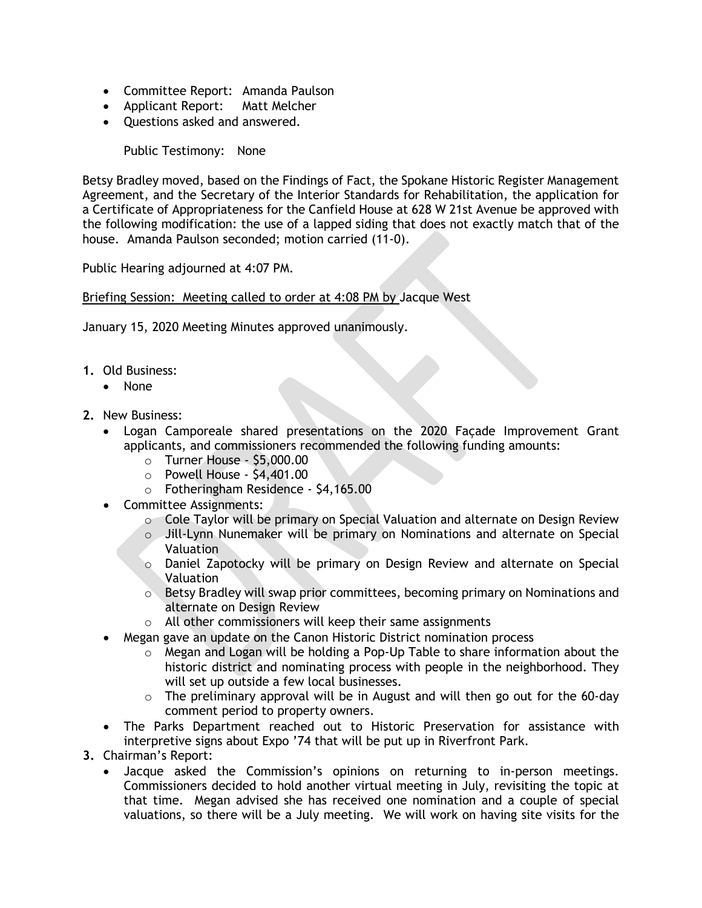- Committee Report: Amanda Paulson
- Applicant Report: Matt Melcher
- Questions asked and answered.

Public Testimony: None

Betsy Bradley moved, based on the Findings of Fact, the Spokane Historic Register Management Agreement, and the Secretary of the Interior Standards for Rehabilitation, the application for a Certificate of Appropriateness for the Canfield House at 628 W 21st Avenue be approved with the following modification: the use of a lapped siding that does not exactly match that of the house. Amanda Paulson seconded; motion carried (11-0).

Public Hearing adjourned at 4:07 PM.

Briefing Session: Meeting called to order at 4:08 PM by Jacque West

January 15, 2020 Meeting Minutes approved unanimously.

- **1.** Old Business:
	- None
- **2.** New Business:
	- Logan Camporeale shared presentations on the 2020 Façade Improvement Grant applicants, and commissioners recommended the following funding amounts:
		- o Turner House \$5,000.00
		- o Powell House \$4,401.00
		- o Fotheringham Residence \$4,165.00
	- Committee Assignments:
		- $\circ$  Cole Taylor will be primary on Special Valuation and alternate on Design Review
		- o Jill-Lynn Nunemaker will be primary on Nominations and alternate on Special Valuation
		- o Daniel Zapotocky will be primary on Design Review and alternate on Special Valuation
		- $\circ$  Betsy Bradley will swap prior committees, becoming primary on Nominations and alternate on Design Review
		- o All other commissioners will keep their same assignments
		- Megan gave an update on the Canon Historic District nomination process
			- $\circ$  Megan and Logan will be holding a Pop-Up Table to share information about the historic district and nominating process with people in the neighborhood. They will set up outside a few local businesses.
			- $\circ$  The preliminary approval will be in August and will then go out for the 60-day comment period to property owners.
	- The Parks Department reached out to Historic Preservation for assistance with interpretive signs about Expo '74 that will be put up in Riverfront Park.
- **3.** Chairman's Report:
	- Jacque asked the Commission's opinions on returning to in-person meetings. Commissioners decided to hold another virtual meeting in July, revisiting the topic at that time. Megan advised she has received one nomination and a couple of special valuations, so there will be a July meeting. We will work on having site visits for the